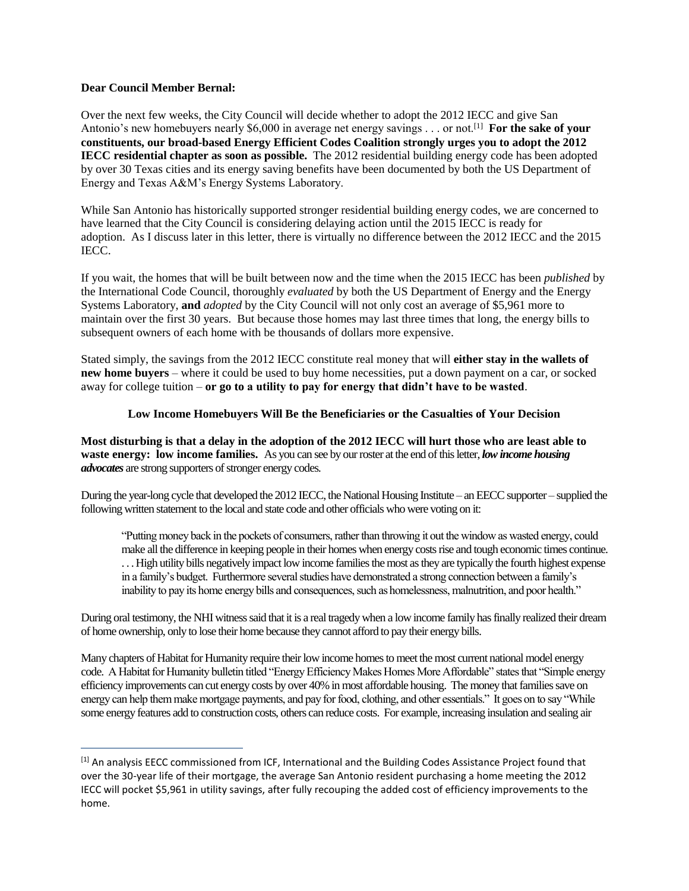## **Dear Council Member Bernal:**

 $\overline{a}$ 

Over the next few weeks, the City Council will decide whether to adopt the 2012 IECC and give San Antonio's new homebuyers nearly \$6,000 in average net energy savings . . . or not.[1] **For the sake of your constituents, our broad-based Energy Efficient Codes Coalition strongly urges you to adopt the 2012 IECC residential chapter as soon as possible.** The 2012 residential building energy code has been adopted by over 30 Texas cities and its energy saving benefits have been documented by both the US Department of Energy and Texas A&M's Energy Systems Laboratory.

While San Antonio has historically supported stronger residential building energy codes, we are concerned to have learned that the City Council is considering delaying action until the 2015 IECC is ready for adoption. As I discuss later in this letter, there is virtually no difference between the 2012 IECC and the 2015 IECC.

If you wait, the homes that will be built between now and the time when the 2015 IECC has been *published* by the International Code Council, thoroughly *evaluated* by both the US Department of Energy and the Energy Systems Laboratory, **and** *adopted* by the City Council will not only cost an average of \$5,961 more to maintain over the first 30 years. But because those homes may last three times that long, the energy bills to subsequent owners of each home with be thousands of dollars more expensive.

Stated simply, the savings from the 2012 IECC constitute real money that will **either stay in the wallets of new home buyers** – where it could be used to buy home necessities, put a down payment on a car, or socked away for college tuition – **or go to a utility to pay for energy that didn't have to be wasted**.

## **Low Income Homebuyers Will Be the Beneficiaries or the Casualties of Your Decision**

**Most disturbing is that a delay in the adoption of the 2012 IECC will hurt those who are least able to waste energy: low income families.** As you can see by our roster at the end of this letter, *low income housing advocates* are strong supporters of stronger energy codes.

During the year-long cycle that developed the 2012 IECC, the National Housing Institute – an EECC supporter – supplied the following written statement to the local and state code and other officials who were voting on it:

"Putting money back in the pockets of consumers, rather than throwing it out the window as wasted energy, could make all the difference in keeping people in their homes when energy costs rise and tough economic times continue. . . . High utility bills negatively impact low income families the most as they are typically the fourth highest expense in a family's budget. Furthermore several studies have demonstrated a strong connection between a family's inability to pay its home energy bills and consequences, such as homelessness, malnutrition, and poor health."

During oral testimony, the NHI witness said that it is a real tragedy when a low income family has finally realized their dream of home ownership, only to lose their home because they cannot afford to pay their energy bills.

Many chapters of Habitat for Humanity require their low income homes to meet the most current national model energy code. A Habitat for Humanity bulletin titled "Energy Efficiency Makes Homes More Affordable" states that "Simple energy efficiency improvements can cut energy costs by over 40% in most affordable housing. The money that families save on energy can help them make mortgage payments, and pay for food, clothing, and other essentials." It goes on to say "While some energy features add to construction costs, others can reduce costs. For example, increasing insulation and sealing air

<sup>[1]</sup> An analysis EECC commissioned from ICF, International and the Building Codes Assistance Project found that over the 30-year life of their mortgage, the average San Antonio resident purchasing a home meeting the 2012 IECC will pocket \$5,961 in utility savings, after fully recouping the added cost of efficiency improvements to the home.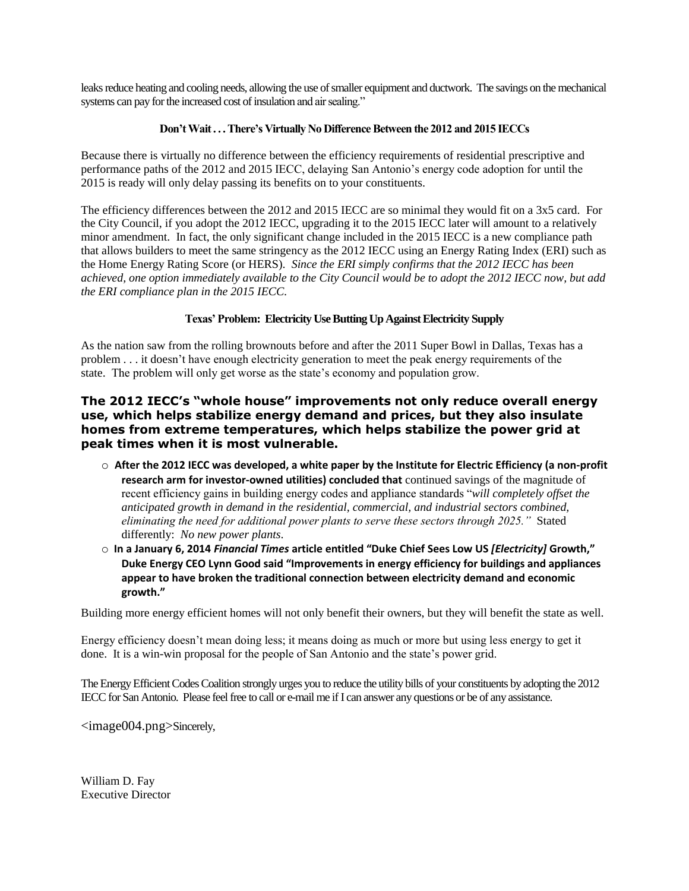leaks reduce heating and cooling needs, allowing the use of smaller equipment and ductwork. The savings on the mechanical systems can pay for the increased cost of insulation and air sealing."

## **Don't Wait . . . There's Virtually No Difference Between the 2012 and 2015 IECCs**

Because there is virtually no difference between the efficiency requirements of residential prescriptive and performance paths of the 2012 and 2015 IECC, delaying San Antonio's energy code adoption for until the 2015 is ready will only delay passing its benefits on to your constituents.

The efficiency differences between the 2012 and 2015 IECC are so minimal they would fit on a 3x5 card. For the City Council, if you adopt the 2012 IECC, upgrading it to the 2015 IECC later will amount to a relatively minor amendment. In fact, the only significant change included in the 2015 IECC is a new compliance path that allows builders to meet the same stringency as the 2012 IECC using an Energy Rating Index (ERI) such as the Home Energy Rating Score (or HERS). *Since the ERI simply confirms that the 2012 IECC has been achieved, one option immediately available to the City Council would be to adopt the 2012 IECC now, but add the ERI compliance plan in the 2015 IECC.*

# **Texas' Problem: Electricity Use Butting Up Against Electricity Supply**

As the nation saw from the rolling brownouts before and after the 2011 Super Bowl in Dallas, Texas has a problem . . . it doesn't have enough electricity generation to meet the peak energy requirements of the state. The problem will only get worse as the state's economy and population grow.

# **The 2012 IECC's "whole house" improvements not only reduce overall energy use, which helps stabilize energy demand and prices, but they also insulate homes from extreme temperatures, which helps stabilize the power grid at peak times when it is most vulnerable.**

- o **After the 2012 IECC was developed, a white paper by the Institute for Electric Efficiency (a non-profit research arm for investor-owned utilities) concluded that** continued savings of the magnitude of recent efficiency gains in building energy codes and appliance standards "*will completely offset the anticipated growth in demand in the residential, commercial, and industrial sectors combined, eliminating the need for additional power plants to serve these sectors through 2025."* Stated differently: *No new power plants*.
- o **In a January 6, 2014** *Financial Times* **article entitled "Duke Chief Sees Low US** *[Electricity]* **Growth," Duke Energy CEO Lynn Good said "Improvements in energy efficiency for buildings and appliances appear to have broken the traditional connection between electricity demand and economic growth."**

Building more energy efficient homes will not only benefit their owners, but they will benefit the state as well.

Energy efficiency doesn't mean doing less; it means doing as much or more but using less energy to get it done. It is a win-win proposal for the people of San Antonio and the state's power grid.

The Energy Efficient Codes Coalition strongly urges you to reduce the utility bills of your constituents by adopting the 2012 IECC for San Antonio. Please feel free to call or e-mail me if I can answer any questions or be of any assistance.

<image004.png>Sincerely,

William D. Fay Executive Director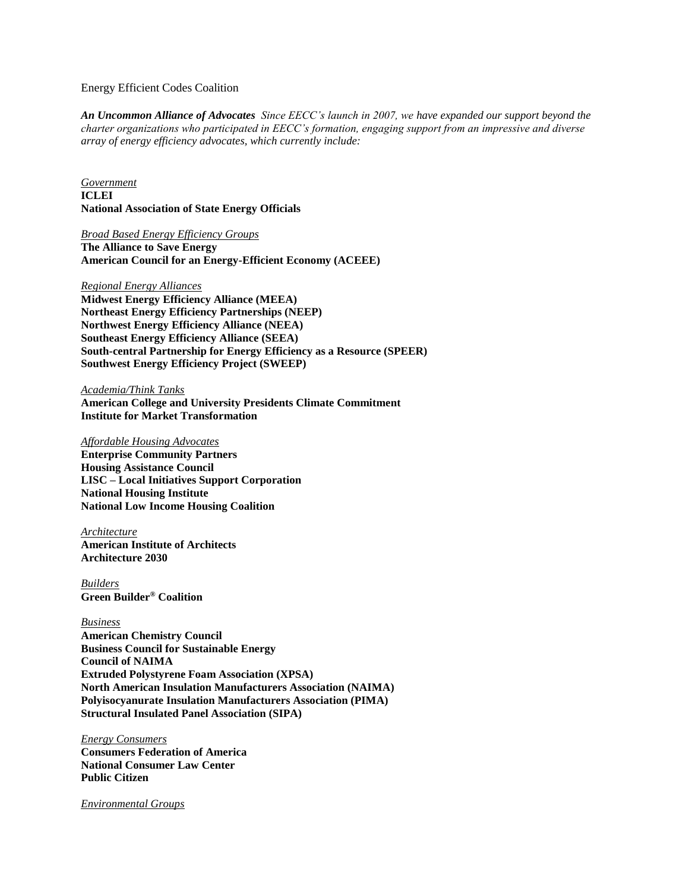### Energy Efficient Codes Coalition

*An Uncommon Alliance of Advocates Since EECC's launch in 2007, we have expanded our support beyond the charter organizations who participated in EECC's formation, engaging support from an impressive and diverse array of energy efficiency advocates, which currently include:*

*Government*  **ICLEI National Association of State Energy Officials** 

*Broad Based Energy Efficiency Groups*  **The Alliance to Save Energy American Council for an Energy-Efficient Economy (ACEEE)** 

#### *Regional Energy Alliances*

**Midwest Energy Efficiency Alliance (MEEA) Northeast Energy Efficiency Partnerships (NEEP) Northwest Energy Efficiency Alliance (NEEA) Southeast Energy Efficiency Alliance (SEEA) South-central Partnership for Energy Efficiency as a Resource (SPEER) Southwest Energy Efficiency Project (SWEEP)** 

*Academia/Think Tanks*  **American College and University Presidents Climate Commitment Institute for Market Transformation** 

#### *Affordable Housing Advocates*

**Enterprise Community Partners Housing Assistance Council LISC – Local Initiatives Support Corporation National Housing Institute National Low Income Housing Coalition**

*Architecture*  **American Institute of Architects Architecture 2030** 

*Builders* **Green Builder® Coalition**

*Business*  **American Chemistry Council Business Council for Sustainable Energy Council of NAIMA Extruded Polystyrene Foam Association (XPSA) North American Insulation Manufacturers Association (NAIMA) Polyisocyanurate Insulation Manufacturers Association (PIMA) Structural Insulated Panel Association (SIPA)**

*Energy Consumers*  **Consumers Federation of America National Consumer Law Center Public Citizen**

*Environmental Groups*